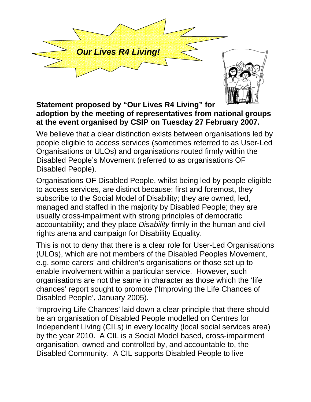



## **Statement proposed by "Our Lives R4 Living" for adoption by the meeting of representatives from national groups at the event organised by CSIP on Tuesday 27 February 2007.**

We believe that a clear distinction exists between organisations led by people eligible to access services (sometimes referred to as User-Led Organisations or ULOs) and organisations routed firmly within the Disabled People's Movement (referred to as organisations OF Disabled People).

Organisations OF Disabled People, whilst being led by people eligible to access services, are distinct because: first and foremost, they subscribe to the Social Model of Disability; they are owned, led, managed and staffed in the majority by Disabled People; they are usually cross-impairment with strong principles of democratic accountability; and they place *Disability* firmly in the human and civil rights arena and campaign for Disability Equality.

This is not to deny that there is a clear role for User-Led Organisations (ULOs), which are not members of the Disabled Peoples Movement, e.g. some carers' and children's organisations or those set up to enable involvement within a particular service. However, such organisations are not the same in character as those which the 'life chances' report sought to promote ('Improving the Life Chances of Disabled People', January 2005).

'Improving Life Chances' laid down a clear principle that there should be an organisation of Disabled People modelled on Centres for Independent Living (CILs) in every locality (local social services area) by the year 2010. A CIL is a Social Model based, cross-impairment organisation, owned and controlled by, and accountable to, the Disabled Community. A CIL supports Disabled People to live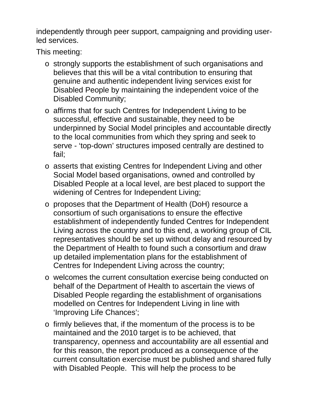independently through peer support, campaigning and providing userled services.

This meeting:

- o strongly supports the establishment of such organisations and believes that this will be a vital contribution to ensuring that genuine and authentic independent living services exist for Disabled People by maintaining the independent voice of the Disabled Community;
- o affirms that for such Centres for Independent Living to be successful, effective and sustainable, they need to be underpinned by Social Model principles and accountable directly to the local communities from which they spring and seek to serve - 'top-down' structures imposed centrally are destined to fail;
- o asserts that existing Centres for Independent Living and other Social Model based organisations, owned and controlled by Disabled People at a local level, are best placed to support the widening of Centres for Independent Living;
- o proposes that the Department of Health (DoH) resource a consortium of such organisations to ensure the effective establishment of independently funded Centres for Independent Living across the country and to this end, a working group of CIL representatives should be set up without delay and resourced by the Department of Health to found such a consortium and draw up detailed implementation plans for the establishment of Centres for Independent Living across the country;
- o welcomes the current consultation exercise being conducted on behalf of the Department of Health to ascertain the views of Disabled People regarding the establishment of organisations modelled on Centres for Independent Living in line with 'Improving Life Chances';
- o firmly believes that, if the momentum of the process is to be maintained and the 2010 target is to be achieved, that transparency, openness and accountability are all essential and for this reason, the report produced as a consequence of the current consultation exercise must be published and shared fully with Disabled People. This will help the process to be